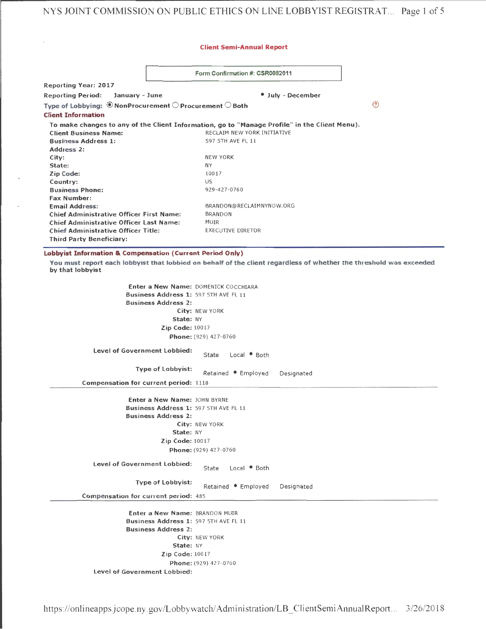NYS JOINT COMMISSION ON PUBLIC ETHICS ON LINE LOBBYIST REGISTRAT.. . Page 1 of 5

## Client Semi-Annual Report

|  |  |  | Form Confirmation #: CSR0082011 |
|--|--|--|---------------------------------|
|--|--|--|---------------------------------|

Reporting Year: 2017 Reporting Period: January - June **and Contact Contact Automobile Automobile** July - December  $\circledR$ Type of Lobbying:  $\circledast$  Non Procurement  $\circledcirc$  Procurement  $\circledcirc$  Both Client Information To make changes to any of the Client Information, go to "Manage Profile" in the Client Menu). Client Business Name: RECLAIM NEW YORK INITIATIVE Business Address 1: 597 5TH AVE FL 11 Address 2: City: NEW YORK State: NY Zip Code: 10017 us Country: 929 -427-0760 Business Phone: Fax Number: Email Address: BRANDON@RECLAIMNYNOW.ORG<br>Chief Administrative Officer First Name: BRANDON Chief Administrative Officer First Name: BRAN<br>Chief Administrative Officer Last Name: MUR Chief Administrative Officer Last Name: MUIR<br>Chief Administrative Officer Title: EXECUTIVE DIRETOR Chief Administrative Officer Title: Third Party Beneficiary:

Lobbyist Information & Compensation (Current Period Only)

You must report each lobbyist that lobbied on behalf of the client regardless of whether the threshold was exceeded by that lobbyist

> Enter a New Name: DOMENICK COCCHIARA Business Address 1: 597 5TH AVE FL 11 Business Address 2: City: NEW YORK State: NY Zip Code: 10017 Phone: (929) 427-0760

Level of Government Lobbied: State Local · Both

Type of Lobbyist:<br>Retained Employed Designated

Compensation for current period: 1118

Enter a New Name: JOHN BYRNE Business Address 1: 597 5TH AVE FL 11 Business Address 2: City: NEW YORK State: NY Zip Code: 10017 Phone: (929) 427-0760

Level of Government Lobbied: State Local • Both

Type of Lobbyist:<br>Retained . Employed Designated

Compensation for current period: 485

Enter a New Name: BRANDON MUIR Business Address 1: 597 5TH AVE FL 11 Business Address 2: City: NEW YORK State: NY Zip Code: 10017 Phone: (929) 427-0760 Level of Government Lobbied: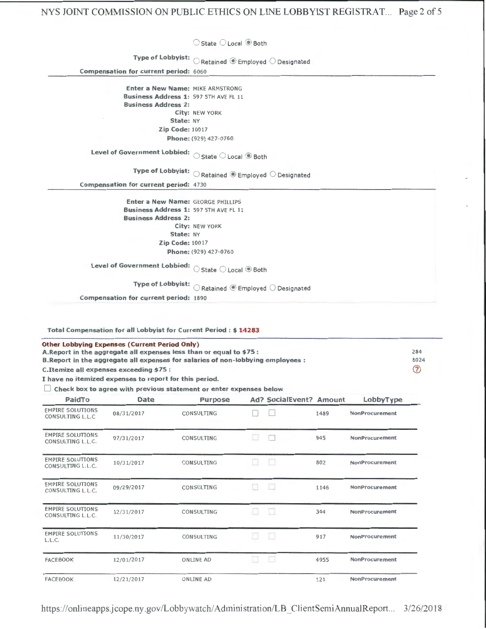O State O Local <sup>®</sup> Both

Type of Lobbyist:  $\bigcirc$  Retained  $\circledast$  Employed  $\bigcirc$  Designated

Compensation for current period: 6060

Enter a New Name: MIKE ARMSTRONG Business Address 1: 597 5TH AVE FL 11 Business Address 2: City: NEW YORK State: NY Zip Code: 10017 Phone: (929) 427-0760

Level of Government Lobbied:  $\bigcirc$  State  $\bigcirc$  Local  $\circledast$  Both

Type of Lobbyist:  $\bigcirc$  Retained  $\circledast$  Employed  $\bigcirc$  Designated

Compensation for current period: 4730

Enter a New Name: GEORGE PHILLIPS Business Address 1: 597 5TH AVE FL 11 Business Address 2: City: NEW YORK State: NY Zip Code: 10017 Phone: (929) 427-0760

Level of Government Lobbied:  $\bigcirc$  State  $\bigcirc$  Local  $\circledast$  Both

Type of Lobbyist:  $\bigcirc$  Retained  $\circledast$  Employed  $\bigcirc$  Designated

Compensation for current period: 1890

Total Compensation for all Lobbyist for Current Period : \$ 14283

| <b>Other Lobbying Expenses (Current Period Only)</b>                             |             |
|----------------------------------------------------------------------------------|-------------|
| A. Report in the aggregate all expenses less than or equal to \$75 :             | 284         |
| B. Report in the aggregate all expenses for salaries of non-lobbying employees : | 8024        |
| C. Itemize all expenses exceeding \$75 :                                         | $\circledR$ |
|                                                                                  |             |

I have no itemized expenses to report for this period.<br> $\Box$  Check box to agree with previous statement or enter expenses below

| PaidTo                                       | Date       | Purpose          |     | Ad? SocialEvent? Amount |      | LobbyType             |
|----------------------------------------------|------------|------------------|-----|-------------------------|------|-----------------------|
| <b>EMPIRE SOLUTIONS</b><br>CONSULTING L.L.C  | 08/31/2017 | CONSULTING       |     |                         | 1489 | <b>NonProcurement</b> |
| <b>EMPIRE SOLUTIONS</b><br>CONSULTING L.L.C. | 07/31/2017 | CONSULTING       |     | ı.                      | 945  | NonProcurement        |
| <b>EMPIRE SOLUTIONS</b><br>CONSULTING L.L.C. | 10/31/2017 | CONSULTING       | h H |                         | 802  | <b>NonProcurement</b> |
| <b>EMPIRE SOLUTIONS</b><br>CONSULTING L.L.C. | 09/29/2017 | CONSULTING       |     | □                       | 1146 | NonProcurement        |
| <b>EMPIRE SOLUTIONS</b><br>CONSULTING L.L.C. | 12/31/2017 | CONSULTING       |     | ū                       | 344  | NonProcurement        |
| <b>EMPIRE SOLUTIONS</b><br>L.L.C.            | 11/30/2017 | CONSULTING       |     | IJ                      | 917  | NonProcurement        |
| <b>FACEBOOK</b>                              | 12/01/2017 | <b>ONLINE AD</b> |     | 18                      | 4955 | NonProcurement        |
| <b>FACEBOOK</b>                              | 12/21/2017 | ONLINE AD        |     |                         | 121  | <b>NonProcurement</b> |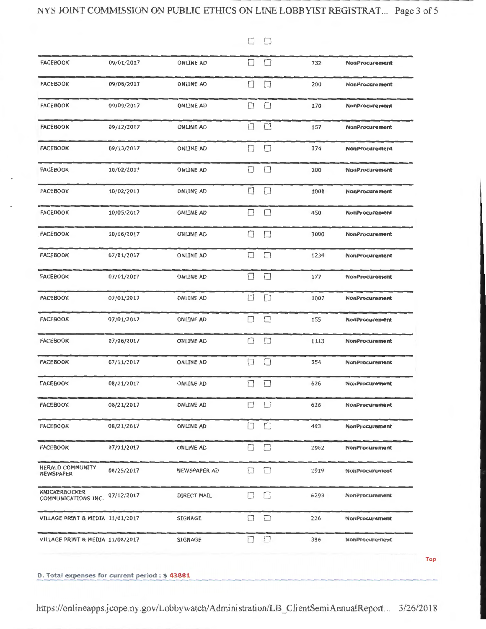$\Box$ 

| <b>FACEBOOK</b>                             | 09/01/2017 | <b>ONLINE AD</b> | □              | П              | 732  | <b>NonProcurement</b> |
|---------------------------------------------|------------|------------------|----------------|----------------|------|-----------------------|
| <b>FACEBOOK</b>                             | 09/06/2017 | <b>ONLINE AD</b> | Ш              | $\Box$         | 200  | <b>NonProcurement</b> |
| <b>FACEBOOK</b>                             | 09/09/2017 | <b>ONLINE AD</b> | $\Box$         | $\Box$         | 170  | <b>NonProcurement</b> |
| <b>FACEBOOK</b>                             | 09/12/2017 | <b>ONLINE AD</b> | $\overline{a}$ | $\blacksquare$ | 157  | <b>NonProcurement</b> |
| <b>FACEBOOK</b>                             | 09/13/2017 | <b>ONLINE AD</b> | □              | П              | 374  | <b>NonProcurement</b> |
| <b>FACEBOOK</b>                             | 10/02/2017 | <b>ONLINE AD</b> | □              | $\Box$         | 200  | <b>NonProcurement</b> |
| <b>FACEBOOK</b>                             | 10/02/2017 | <b>ONLINE AD</b> | $\Box$         | П              | 1000 | <b>NonProcurement</b> |
| <b>FACEBOOK</b>                             | 10/05/2017 | <b>ONLINE AD</b> | U              |                | 450  | <b>NonProcurement</b> |
| <b>FACEBOOK</b>                             | 10/16/2017 | <b>ONLINE AD</b> | □              |                | 3000 | <b>NonProcurement</b> |
| <b>FACEBOOK</b>                             | 07/01/2017 | <b>ONLINE AD</b> | $\Box$         | □              | 1234 | <b>NonProcurement</b> |
| <b>FACEBOOK</b>                             | 07/01/2017 | <b>ONLINE AD</b> | □              | П              | 177  | <b>NonProcurement</b> |
| <b>FACEBOOK</b>                             | 07/01/2017 | <b>ONLINE AD</b> |                |                | 1007 | <b>NonProcurement</b> |
| <b>FACEBOOK</b>                             | 07/01/2017 | <b>ONLINE AD</b> | П              | □              | 155  | <b>NonProcurement</b> |
| <b>FACEBOOK</b>                             | 07/06/2017 | <b>ONLINE AD</b> | ◘              | □              | 1113 | <b>NonProcurement</b> |
| <b>FACEBOOK</b>                             | 07/11/2017 | <b>ONLINE AD</b> | П              | П              | 354  | NonProcurement        |
| <b>FACEBOOK</b>                             | 08/21/2017 | <b>ONLINE AD</b> |                | П              | 626  | NonProcurement        |
| <b>FACEBOOK</b>                             | 08/21/2017 | <b>ONLINE AD</b> | $\Box$         | $\Box$         | 626  | <b>NonProcurement</b> |
| <b>FACEBOOK</b>                             | 08/21/2017 | <b>ONLINE AD</b> | П              | П              | 493  | <b>NonProcurement</b> |
| <b>FACEBOOK</b>                             | 07/01/2017 | <b>ONLINE AD</b> | L              | $\Box$         | 2962 | <b>NonProcurement</b> |
| HERALD COMMUNITY<br><b>NEWSPAPER</b>        | 08/25/2017 | NEWSPAPER AD     | □              | $\Box$         | 2919 | <b>NonProcurement</b> |
| <b>KNICKERBOCKER</b><br>COMMUNICATIONS INC. | 07/12/2017 | DIRECT MAIL      | Н              | $\Box$         | 6293 | NonProcurement        |
| VILLAGE PRINT & MEDIA 11/01/2017            |            | <b>SIGNAGE</b>   | $\Box$         | $\Box$         | 226  | NonProcurement        |
| VILLAGE PRINT & MEDIA 11/08/2017            |            | <b>SIGNAGE</b>   | П              | $\Box$         | 386  | <b>NonProcurement</b> |

https://onlineapps.jcope.ny.gov/Lobbywatch/Administration/LB\_ClientSemiAnnualReport... 3/26/2018

**Top**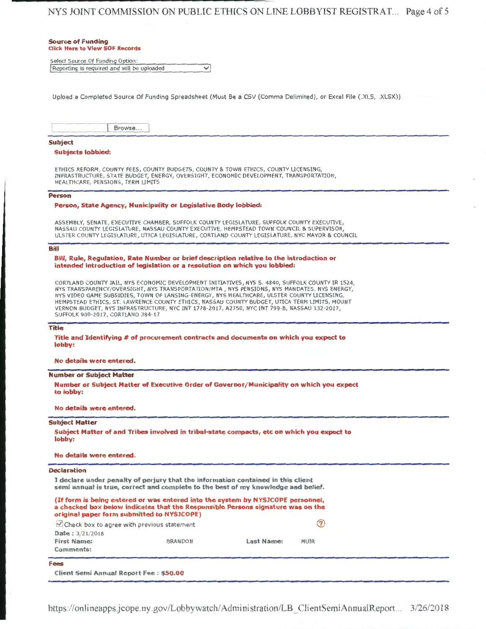## NYS JOINT COMMISSION ON PUBLIC ETHICS ON LINE LOBBYIST REGISTRAT. .. Page 4 of 5

......... \_\_\_\_\_\_\_\_\_\_\_\_ \_\_

| <b>Source of Funding</b><br><b>Click Here to View SOF Records</b>                                                                                                                                                                                                                                                                                                                                                                                                                                                                                                                                                |
|------------------------------------------------------------------------------------------------------------------------------------------------------------------------------------------------------------------------------------------------------------------------------------------------------------------------------------------------------------------------------------------------------------------------------------------------------------------------------------------------------------------------------------------------------------------------------------------------------------------|
|                                                                                                                                                                                                                                                                                                                                                                                                                                                                                                                                                                                                                  |
| Select Source Of Funding Option:<br>Reporting is required and will be uploaded<br>$\checkmark$                                                                                                                                                                                                                                                                                                                                                                                                                                                                                                                   |
|                                                                                                                                                                                                                                                                                                                                                                                                                                                                                                                                                                                                                  |
| Upload a Completed Source Of Funding Spreadsheet (Must Be a CSV (Comma Delimited), or Excel File (.XLS, .XLSX))                                                                                                                                                                                                                                                                                                                                                                                                                                                                                                  |
| Browse                                                                                                                                                                                                                                                                                                                                                                                                                                                                                                                                                                                                           |
| <b>Subject</b>                                                                                                                                                                                                                                                                                                                                                                                                                                                                                                                                                                                                   |
| <b>Subjects lobbied:</b>                                                                                                                                                                                                                                                                                                                                                                                                                                                                                                                                                                                         |
| ETHICS REFORM, COUNTY FEES, COUNTY BUDGETS, COUNTY & TOWN ETHICS, COUNTY LICENSING,<br>INFRASTRUCTURE, STATE BUDGET, ENERGY, OVERSIGHT, ECONOMIC DEVELOPMENT, TRANSPORTATION,<br>HEALTHCARE, PENSIONS, TERM LIMITS                                                                                                                                                                                                                                                                                                                                                                                               |
| <b>Person</b>                                                                                                                                                                                                                                                                                                                                                                                                                                                                                                                                                                                                    |
| Person, State Agency, Municipality or Legislative Body lobbied:                                                                                                                                                                                                                                                                                                                                                                                                                                                                                                                                                  |
| ASSEMBLY, SENATE, EXECUTIVE CHAMBER, SUFFOLK COUNTY LEGISLATURE, SUFFOLK COUNTY EXECUTIVE,<br>NASSAU COUNTY LEGISLATURE, NASSAU COUNTY EXECUTIVE, HEMPSTEAD TOWN COUNCIL & SUPERVISOR,<br>ULSTER COUNTY LEGISLATURE, UTICA LEGISLATURE, CORTLAND COUNTY LEGISLATURE, NYC MAYOR & COUNCIL                                                                                                                                                                                                                                                                                                                         |
| Bill                                                                                                                                                                                                                                                                                                                                                                                                                                                                                                                                                                                                             |
| intended introduction of legislation or a resolution on which you lobbied:<br>CORTLAND COUNTY JAIL, NYS ECONOMIC DEVELOPMENT INITIATIVES, NYS S. 4840, SUFFOLK COUNTY IR 1524,<br>NYS TRANSPARENCY/OVERSIGHT, NYS TRANSPORTATION/MTA, NYS PENSIONS, NYS MANDATES, NYS ENERGY,<br>NYS VIDEO GAME SUBSIDIES, TOWN OF LANSING-ENERGY, NYS HEALTHCARE, ULSTER COUNTY LICENSING,<br>HEMPSTEAD ETHICS, ST. LAWRENCE COUNTY ETHICS, NASSAU COUNTY BUDGET, UTICA TERM LIMITS, MOUNT<br>VERNON BUDGET, NYS INFRASTRUCTURE, NYC INT 1778-2017, A2750, NYC INT 799-B, NASSAU 132-2017,<br>SUFFOLK 900-2017, CORTLAND 384-17 |
| <b>Title</b>                                                                                                                                                                                                                                                                                                                                                                                                                                                                                                                                                                                                     |
| Title and Identifying # of procurement contracts and documents on which you expect to<br>lobby:                                                                                                                                                                                                                                                                                                                                                                                                                                                                                                                  |
| No details were entered.                                                                                                                                                                                                                                                                                                                                                                                                                                                                                                                                                                                         |
| <b>Number or Subject Matter</b>                                                                                                                                                                                                                                                                                                                                                                                                                                                                                                                                                                                  |
| Number or Subject Matter of Executive Order of Governor/Municipality on which you expect<br>to lobby:                                                                                                                                                                                                                                                                                                                                                                                                                                                                                                            |
| No details were entered.                                                                                                                                                                                                                                                                                                                                                                                                                                                                                                                                                                                         |
| <b>Subject Matter</b>                                                                                                                                                                                                                                                                                                                                                                                                                                                                                                                                                                                            |
| Subject Matter of and Tribes involved in tribal-state compacts, etc on which you expect to<br>lobby:                                                                                                                                                                                                                                                                                                                                                                                                                                                                                                             |
| No details were entered.                                                                                                                                                                                                                                                                                                                                                                                                                                                                                                                                                                                         |
| <b>Declaration</b>                                                                                                                                                                                                                                                                                                                                                                                                                                                                                                                                                                                               |
| I declare under penalty of perjury that the information contained in this client<br>semi annual is true, correct and complete to the best of my knowledge and belief.                                                                                                                                                                                                                                                                                                                                                                                                                                            |
| (If form is being entered or was entered into the system by NYSJCOPE personnel,<br>a checked box below indicates that the Responsible Persons signature was on the<br>original paper form submitted to NYSJCOPE)                                                                                                                                                                                                                                                                                                                                                                                                 |

| Fees<br>Client Semi Annual Report Fee: \$50.00                     |                |                   |               |  |
|--------------------------------------------------------------------|----------------|-------------------|---------------|--|
| <b>Date:</b> $3/21/2018$<br><b>First Name:</b><br><b>Comments:</b> | <b>BRANDON</b> | <b>Last Name:</b> | <b>MUIR</b>   |  |
| Check box to agree with previous statement                         |                |                   | $^\copyright$ |  |

https://onlineapps.jcope. ny .gov/Lobbywatch/ Administration/LB \_ ClientSemiAnnua!Report.. 3/26/2018